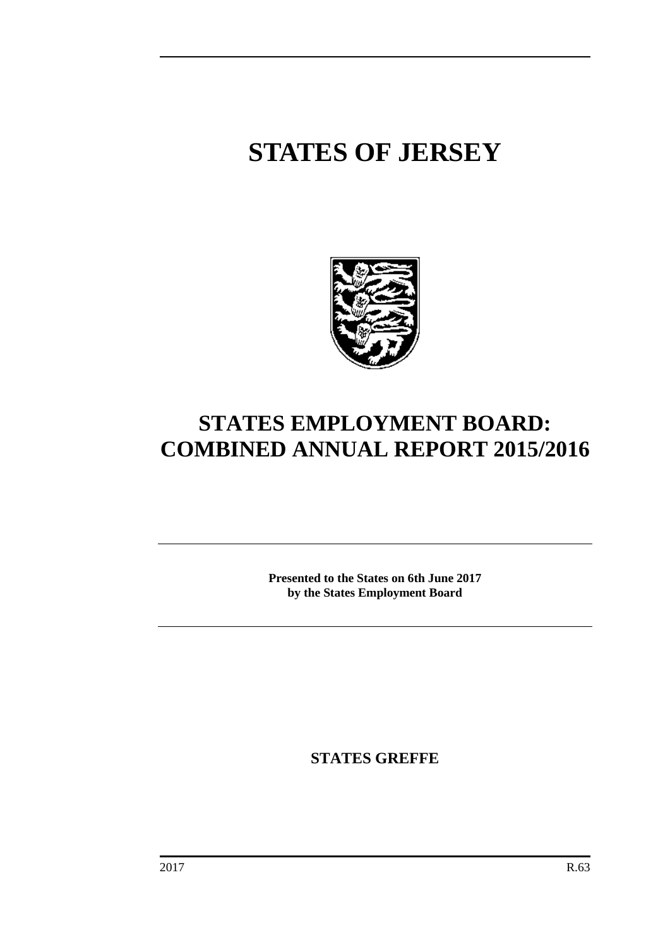# **STATES OF JERSEY**



## **STATES EMPLOYMENT BOARD: COMBINED ANNUAL REPORT 2015/2016**

**Presented to the States on 6th June 2017 by the States Employment Board**

**STATES GREFFE**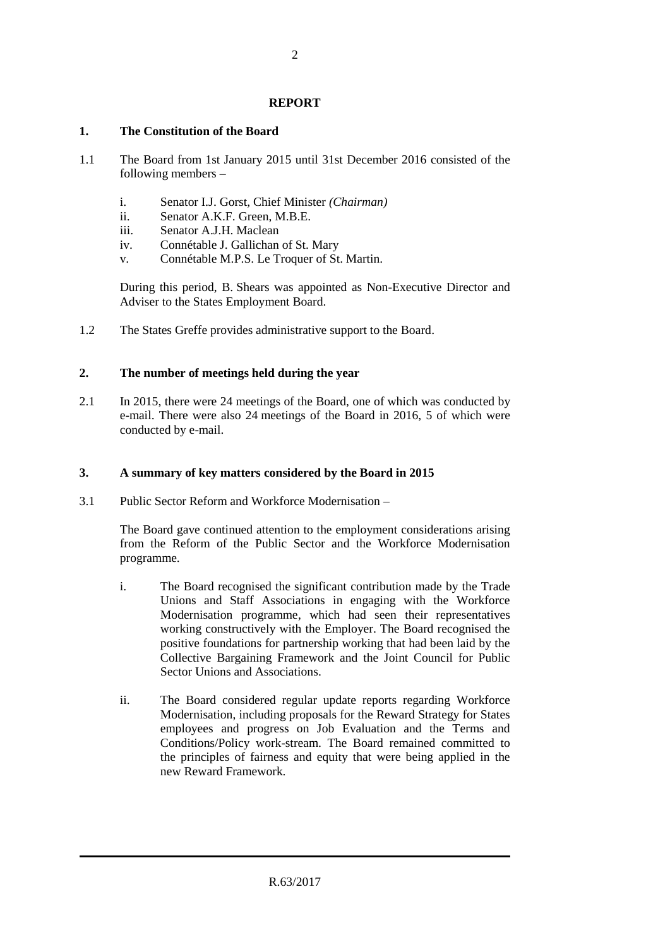#### **REPORT**

#### **1. The Constitution of the Board**

- 1.1 The Board from 1st January 2015 until 31st December 2016 consisted of the following members –
	- i. Senator I.J. Gorst, Chief Minister *(Chairman)*
	- ii. Senator A.K.F. Green, M.B.E.
	- iii. Senator A.J.H. Maclean
	- iv. Connétable J. Gallichan of St. Mary
	- v. Connétable M.P.S. Le Troquer of St. Martin.

During this period, B. Shears was appointed as Non-Executive Director and Adviser to the States Employment Board.

1.2 The States Greffe provides administrative support to the Board.

#### **2. The number of meetings held during the year**

2.1 In 2015, there were 24 meetings of the Board, one of which was conducted by e-mail. There were also 24 meetings of the Board in 2016, 5 of which were conducted by e-mail.

#### **3. A summary of key matters considered by the Board in 2015**

3.1 Public Sector Reform and Workforce Modernisation –

The Board gave continued attention to the employment considerations arising from the Reform of the Public Sector and the Workforce Modernisation programme.

- i. The Board recognised the significant contribution made by the Trade Unions and Staff Associations in engaging with the Workforce Modernisation programme, which had seen their representatives working constructively with the Employer. The Board recognised the positive foundations for partnership working that had been laid by the Collective Bargaining Framework and the Joint Council for Public Sector Unions and Associations.
- ii. The Board considered regular update reports regarding Workforce Modernisation, including proposals for the Reward Strategy for States employees and progress on Job Evaluation and the Terms and Conditions/Policy work-stream. The Board remained committed to the principles of fairness and equity that were being applied in the new Reward Framework.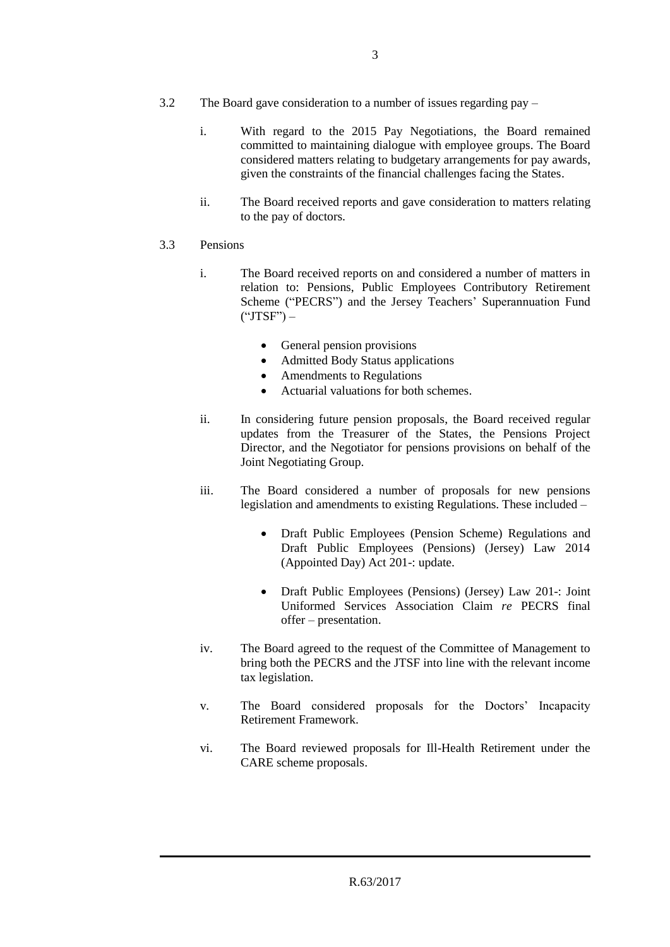- 3.2 The Board gave consideration to a number of issues regarding pay
	- i. With regard to the 2015 Pay Negotiations, the Board remained committed to maintaining dialogue with employee groups. The Board considered matters relating to budgetary arrangements for pay awards, given the constraints of the financial challenges facing the States.
	- ii. The Board received reports and gave consideration to matters relating to the pay of doctors.

#### 3.3 Pensions

- i. The Board received reports on and considered a number of matters in relation to: Pensions, Public Employees Contributory Retirement Scheme ("PECRS") and the Jersey Teachers' Superannuation Fund  $("JTSF") -$ 
	- General pension provisions
	- Admitted Body Status applications
	- Amendments to Regulations
	- Actuarial valuations for both schemes.
- ii. In considering future pension proposals, the Board received regular updates from the Treasurer of the States, the Pensions Project Director, and the Negotiator for pensions provisions on behalf of the Joint Negotiating Group.
- iii. The Board considered a number of proposals for new pensions legislation and amendments to existing Regulations. These included –
	- Draft Public Employees (Pension Scheme) Regulations and Draft Public Employees (Pensions) (Jersey) Law 2014 (Appointed Day) Act 201-: update.
	- Draft Public Employees (Pensions) (Jersey) Law 201-: Joint Uniformed Services Association Claim *re* PECRS final offer – presentation.
- iv. The Board agreed to the request of the Committee of Management to bring both the PECRS and the JTSF into line with the relevant income tax legislation.
- v. The Board considered proposals for the Doctors' Incapacity Retirement Framework.
- vi. The Board reviewed proposals for Ill-Health Retirement under the CARE scheme proposals.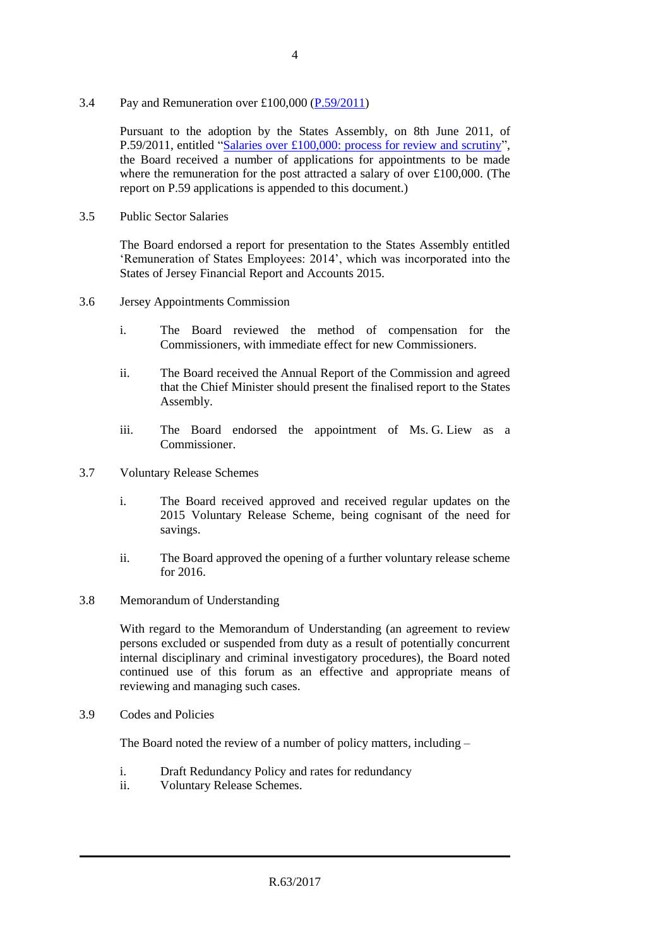3.4 Pay and Remuneration over £100,000 [\(P.59/2011\)](http://www.statesassembly.gov.je/AssemblyPropositions/2011/16153-12952-1842011.pdf)

Pursuant to the adoption by the States Assembly, on 8th June 2011, of P.59/2011, entitled ["Salaries over £100,000: process for review and scrutiny"](http://www.statesassembly.gov.je/AssemblyPropositions/2011/16153-12952-1842011.pdf), the Board received a number of applications for appointments to be made where the remuneration for the post attracted a salary of over £100,000. (The report on P.59 applications is appended to this document.)

3.5 Public Sector Salaries

The Board endorsed a report for presentation to the States Assembly entitled 'Remuneration of States Employees: 2014', which was incorporated into the States of Jersey Financial Report and Accounts 2015.

- 3.6 Jersey Appointments Commission
	- i. The Board reviewed the method of compensation for the Commissioners, with immediate effect for new Commissioners.
	- ii. The Board received the Annual Report of the Commission and agreed that the Chief Minister should present the finalised report to the States Assembly.
	- iii. The Board endorsed the appointment of Ms. G. Liew as a Commissioner.
- 3.7 Voluntary Release Schemes
	- i. The Board received approved and received regular updates on the 2015 Voluntary Release Scheme, being cognisant of the need for savings.
	- ii. The Board approved the opening of a further voluntary release scheme for 2016.
- 3.8 Memorandum of Understanding

With regard to the Memorandum of Understanding (an agreement to review persons excluded or suspended from duty as a result of potentially concurrent internal disciplinary and criminal investigatory procedures), the Board noted continued use of this forum as an effective and appropriate means of reviewing and managing such cases.

3.9 Codes and Policies

The Board noted the review of a number of policy matters, including –

- i. Draft Redundancy Policy and rates for redundancy
- ii. Voluntary Release Schemes.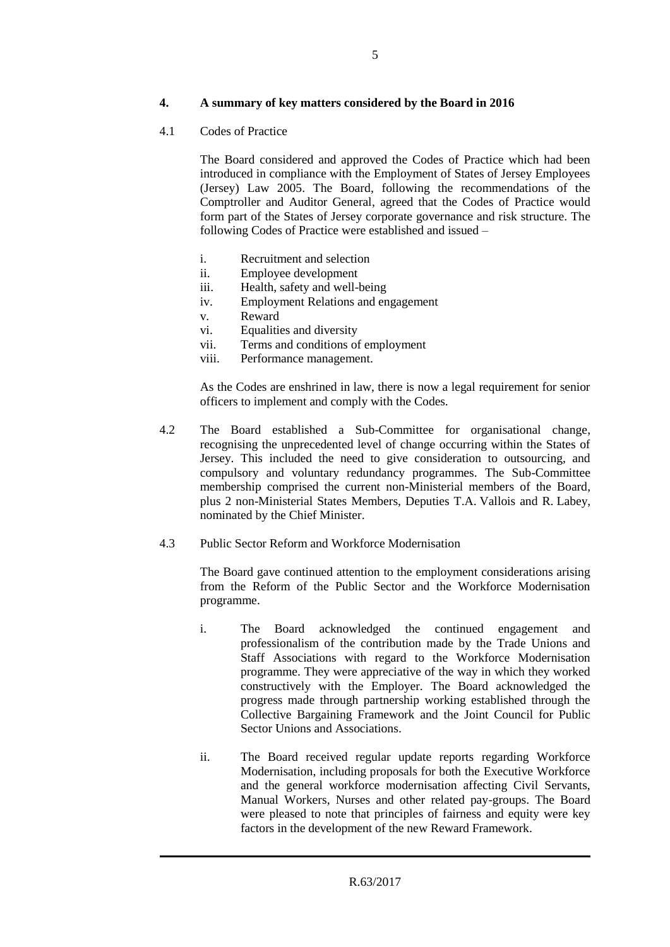#### **4. A summary of key matters considered by the Board in 2016**

4.1 Codes of Practice

The Board considered and approved the Codes of Practice which had been introduced in compliance with the Employment of States of Jersey Employees (Jersey) Law 2005. The Board, following the recommendations of the Comptroller and Auditor General, agreed that the Codes of Practice would form part of the States of Jersey corporate governance and risk structure. The following Codes of Practice were established and issued –

- i. Recruitment and selection
- ii. Employee development
- iii. Health, safety and well-being
- iv. Employment Relations and engagement
- v. Reward<br>vi Equalitie
- Equalities and diversity
- vii. Terms and conditions of employment
- viii. Performance management.

As the Codes are enshrined in law, there is now a legal requirement for senior officers to implement and comply with the Codes.

- 4.2 The Board established a Sub-Committee for organisational change, recognising the unprecedented level of change occurring within the States of Jersey. This included the need to give consideration to outsourcing, and compulsory and voluntary redundancy programmes. The Sub-Committee membership comprised the current non-Ministerial members of the Board, plus 2 non-Ministerial States Members, Deputies T.A. Vallois and R. Labey, nominated by the Chief Minister.
- 4.3 Public Sector Reform and Workforce Modernisation

The Board gave continued attention to the employment considerations arising from the Reform of the Public Sector and the Workforce Modernisation programme.

- i. The Board acknowledged the continued engagement and professionalism of the contribution made by the Trade Unions and Staff Associations with regard to the Workforce Modernisation programme. They were appreciative of the way in which they worked constructively with the Employer. The Board acknowledged the progress made through partnership working established through the Collective Bargaining Framework and the Joint Council for Public Sector Unions and Associations.
- ii. The Board received regular update reports regarding Workforce Modernisation, including proposals for both the Executive Workforce and the general workforce modernisation affecting Civil Servants, Manual Workers, Nurses and other related pay-groups. The Board were pleased to note that principles of fairness and equity were key factors in the development of the new Reward Framework.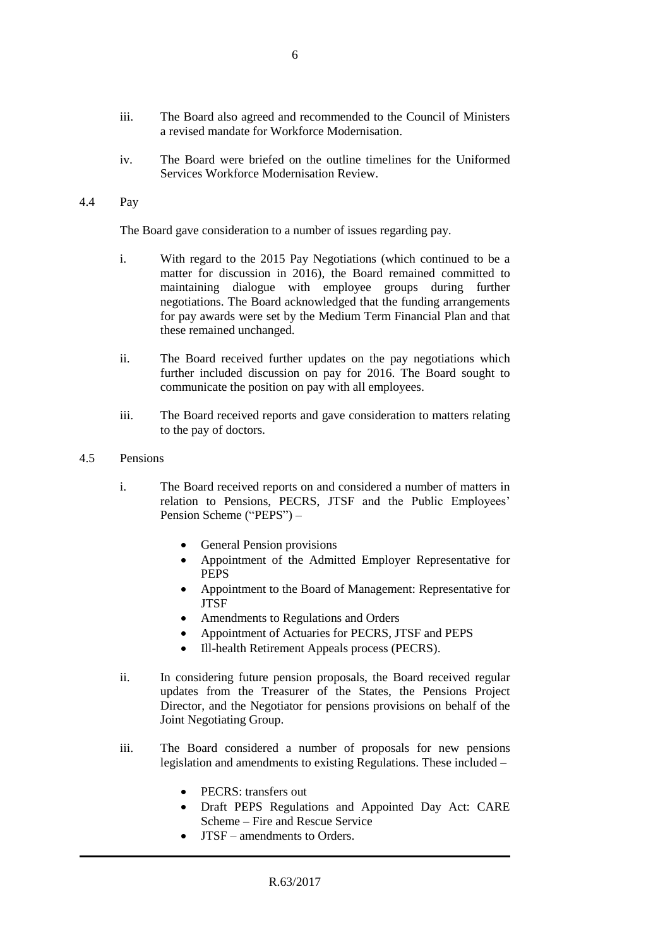- iii. The Board also agreed and recommended to the Council of Ministers a revised mandate for Workforce Modernisation.
- iv. The Board were briefed on the outline timelines for the Uniformed Services Workforce Modernisation Review.
- 4.4 Pay

The Board gave consideration to a number of issues regarding pay.

- i. With regard to the 2015 Pay Negotiations (which continued to be a matter for discussion in 2016), the Board remained committed to maintaining dialogue with employee groups during further negotiations. The Board acknowledged that the funding arrangements for pay awards were set by the Medium Term Financial Plan and that these remained unchanged.
- ii. The Board received further updates on the pay negotiations which further included discussion on pay for 2016. The Board sought to communicate the position on pay with all employees.
- iii. The Board received reports and gave consideration to matters relating to the pay of doctors.
- 4.5 Pensions
	- i. The Board received reports on and considered a number of matters in relation to Pensions, PECRS, JTSF and the Public Employees' Pension Scheme ("PEPS") –
		- General Pension provisions
		- Appointment of the Admitted Employer Representative for PEPS
		- Appointment to the Board of Management: Representative for **JTSF**
		- Amendments to Regulations and Orders
		- Appointment of Actuaries for PECRS, JTSF and PEPS
		- Ill-health Retirement Appeals process (PECRS).
	- ii. In considering future pension proposals, the Board received regular updates from the Treasurer of the States, the Pensions Project Director, and the Negotiator for pensions provisions on behalf of the Joint Negotiating Group.
	- iii. The Board considered a number of proposals for new pensions legislation and amendments to existing Regulations. These included –
		- PECRS: transfers out
		- Draft PEPS Regulations and Appointed Day Act: CARE Scheme – Fire and Rescue Service
		- JTSF amendments to Orders.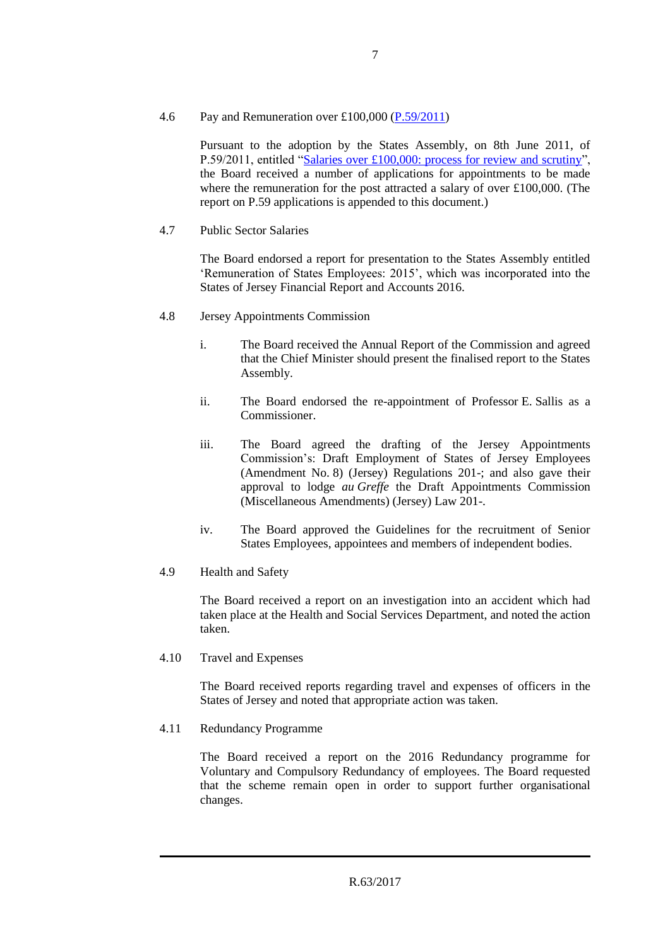#### 4.6 Pay and Remuneration over £100,000 [\(P.59/2011\)](http://www.statesassembly.gov.je/AssemblyPropositions/2011/16153-12952-1842011.pdf)

Pursuant to the adoption by the States Assembly, on 8th June 2011, of P.59/2011, entitled ["Salaries over £100,000: process for review and scrutiny"](http://www.statesassembly.gov.je/AssemblyPropositions/2011/16153-12952-1842011.pdf), the Board received a number of applications for appointments to be made where the remuneration for the post attracted a salary of over £100,000. (The report on P.59 applications is appended to this document.)

#### 4.7 Public Sector Salaries

The Board endorsed a report for presentation to the States Assembly entitled 'Remuneration of States Employees: 2015', which was incorporated into the States of Jersey Financial Report and Accounts 2016.

- 4.8 Jersey Appointments Commission
	- i. The Board received the Annual Report of the Commission and agreed that the Chief Minister should present the finalised report to the States Assembly.
	- ii. The Board endorsed the re-appointment of Professor E. Sallis as a Commissioner.
	- iii. The Board agreed the drafting of the Jersey Appointments Commission's: Draft Employment of States of Jersey Employees (Amendment No. 8) (Jersey) Regulations 201-; and also gave their approval to lodge *au Greffe* the Draft Appointments Commission (Miscellaneous Amendments) (Jersey) Law 201-.
	- iv. The Board approved the Guidelines for the recruitment of Senior States Employees, appointees and members of independent bodies.
- 4.9 Health and Safety

The Board received a report on an investigation into an accident which had taken place at the Health and Social Services Department, and noted the action taken.

4.10 Travel and Expenses

The Board received reports regarding travel and expenses of officers in the States of Jersey and noted that appropriate action was taken.

4.11 Redundancy Programme

The Board received a report on the 2016 Redundancy programme for Voluntary and Compulsory Redundancy of employees. The Board requested that the scheme remain open in order to support further organisational changes.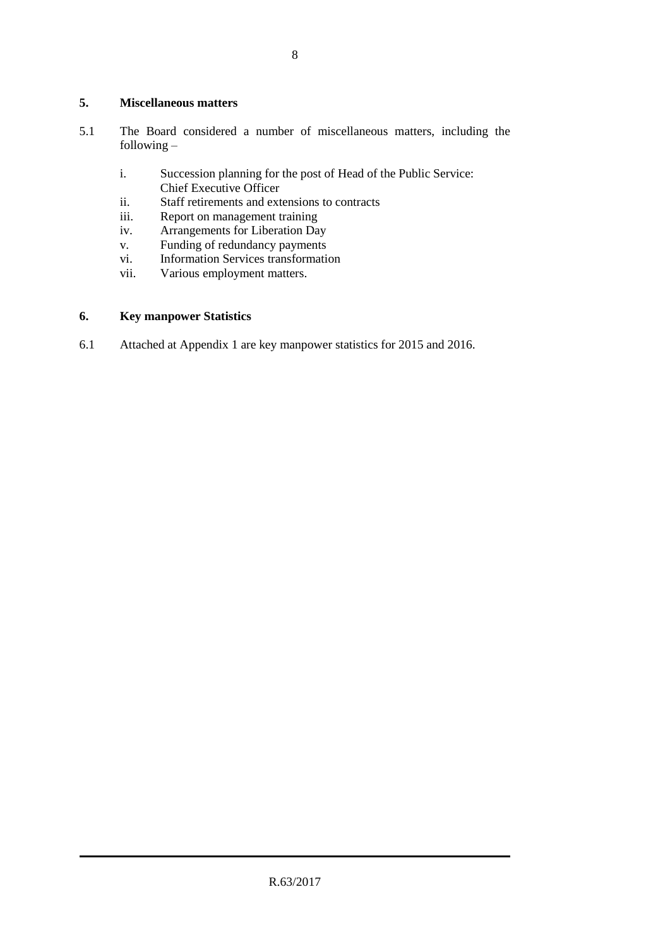#### **5. Miscellaneous matters**

- 5.1 The Board considered a number of miscellaneous matters, including the following –
	- i. Succession planning for the post of Head of the Public Service: Chief Executive Officer
	- ii. Staff retirements and extensions to contracts<br>iii. Report on management training
	- iii. Report on management training<br>iv. Arrangements for Liberation Da
	- iv. Arrangements for Liberation Day<br>v. Funding of redundancy payments
	- v. Funding of redundancy payments<br>vi. Information Services transformation
	- Information Services transformation
	- vii. Various employment matters.

#### **6. Key manpower Statistics**

6.1 Attached at Appendix 1 are key manpower statistics for 2015 and 2016.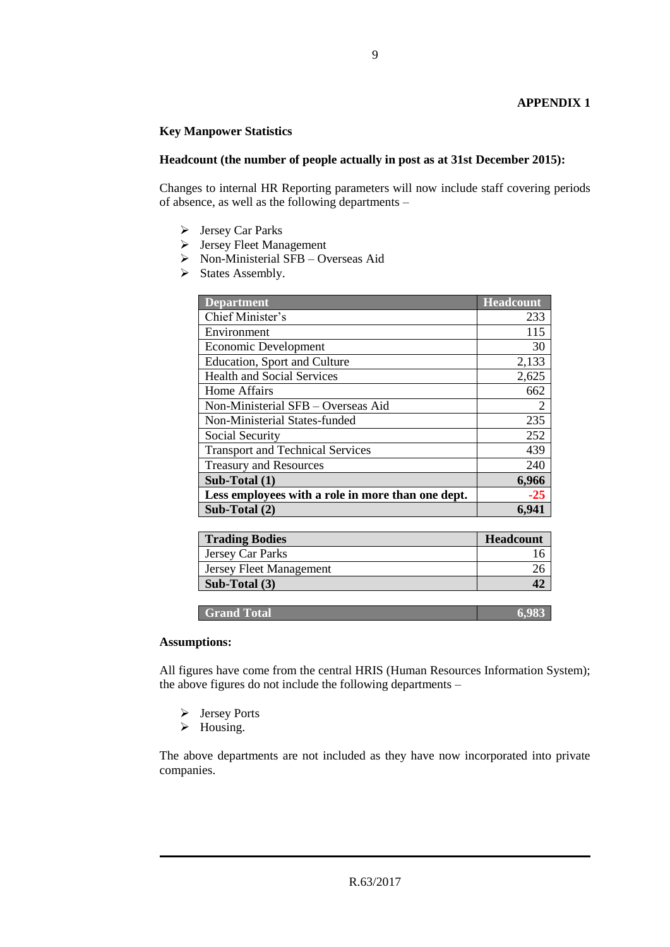#### **Key Manpower Statistics**

#### **Headcount (the number of people actually in post as at 31st December 2015):**

Changes to internal HR Reporting parameters will now include staff covering periods of absence, as well as the following departments –

- $\triangleright$  Jersey Car Parks
- Jersey Fleet Management
- $\triangleright$  Non-Ministerial SFB Overseas Aid
- $\triangleright$  States Assembly.

| <b>Department</b>                                 | <b>Headcount</b> |
|---------------------------------------------------|------------------|
| Chief Minister's                                  | 233              |
| Environment                                       | 115              |
| Economic Development                              | 30               |
| <b>Education, Sport and Culture</b>               | 2,133            |
| <b>Health and Social Services</b>                 | 2,625            |
| Home Affairs                                      | 662              |
| Non-Ministerial SFB - Overseas Aid                | $\overline{2}$   |
| Non-Ministerial States-funded                     | 235              |
| Social Security                                   | 252              |
| <b>Transport and Technical Services</b>           | 439              |
| <b>Treasury and Resources</b>                     | 240              |
| Sub-Total $(1)$                                   | 6,966            |
| Less employees with a role in more than one dept. | $-25$            |
| Sub-Total (2)                                     | 6,941            |

| <b>Trading Bodies</b>          | <b>Headcount</b> |
|--------------------------------|------------------|
| Jersey Car Parks               |                  |
| <b>Jersey Fleet Management</b> |                  |
| Sub-Total (3)                  |                  |

**Grand Total 6,983** 

#### **Assumptions:**

All figures have come from the central HRIS (Human Resources Information System); the above figures do not include the following departments –

- Jersey Ports
- $\triangleright$  Housing.

The above departments are not included as they have now incorporated into private companies.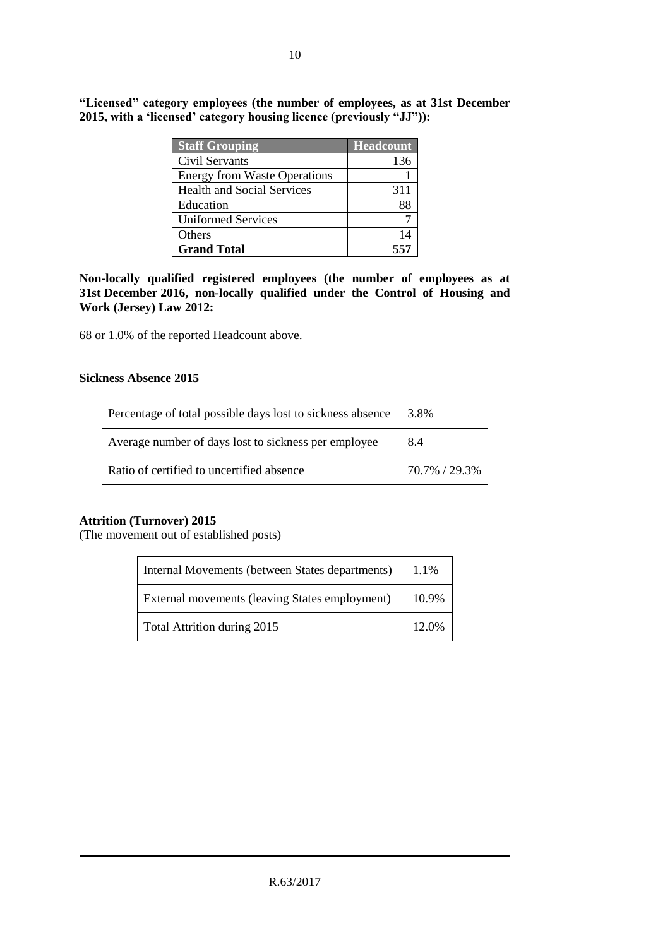| <b>Staff Grouping</b>               | <b>Headcount</b> |
|-------------------------------------|------------------|
| Civil Servants                      | 136              |
| <b>Energy from Waste Operations</b> |                  |
| <b>Health and Social Services</b>   | 311              |
| Education                           | 88               |
| <b>Uniformed Services</b>           |                  |
| Others                              | 14               |
| <b>Grand Total</b>                  | 557              |

**"Licensed" category employees (the number of employees, as at 31st December 2015, with a 'licensed' category housing licence (previously "JJ")):**

**Non-locally qualified registered employees (the number of employees as at 31st December 2016, non-locally qualified under the Control of Housing and Work (Jersey) Law 2012:**

68 or 1.0% of the reported Headcount above.

#### **Sickness Absence 2015**

| Percentage of total possible days lost to sickness absence | 3.8%          |  |
|------------------------------------------------------------|---------------|--|
| Average number of days lost to sickness per employee       | 8.4           |  |
| Ratio of certified to uncertified absence                  | 70.7% / 29.3% |  |

#### **Attrition (Turnover) 2015**

(The movement out of established posts)

| Internal Movements (between States departments) | 1.1%  |
|-------------------------------------------------|-------|
| External movements (leaving States employment)  | 10.9% |
| Total Attrition during 2015                     | 12.0% |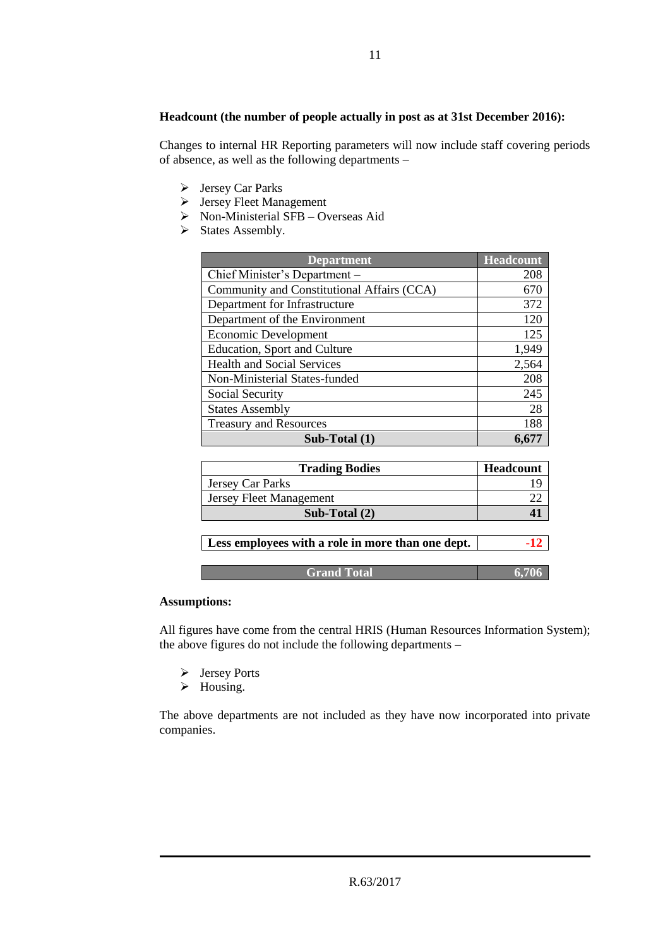#### **Headcount (the number of people actually in post as at 31st December 2016):**

Changes to internal HR Reporting parameters will now include staff covering periods of absence, as well as the following departments –

- Jersey Car Parks
- Jersey Fleet Management
- Non-Ministerial SFB Overseas Aid
- $\triangleright$  States Assembly.

| <b>Department</b>                          | <b>Headcount</b> |
|--------------------------------------------|------------------|
| Chief Minister's Department -              | 208              |
| Community and Constitutional Affairs (CCA) | 670              |
| Department for Infrastructure              | 372              |
| Department of the Environment              | 120              |
| <b>Economic Development</b>                | 125              |
| <b>Education, Sport and Culture</b>        | 1,949            |
| <b>Health and Social Services</b>          | 2,564            |
| Non-Ministerial States-funded              | 208              |
| Social Security                            | 245              |
| <b>States Assembly</b>                     | 28               |
| <b>Treasury and Resources</b>              | 188              |
| Sub-Total $(1)$                            |                  |

| <b>Trading Bodies</b>                             | Headcount |
|---------------------------------------------------|-----------|
| Jersey Car Parks                                  |           |
| Jersey Fleet Management                           |           |
| Sub-Total $(2)$                                   |           |
|                                                   |           |
| Less employees with a role in more than one dept. |           |
|                                                   |           |

**Grand Total 6,706** 

#### **Assumptions:**

All figures have come from the central HRIS (Human Resources Information System); the above figures do not include the following departments –

- Jersey Ports
- > Housing.

The above departments are not included as they have now incorporated into private companies.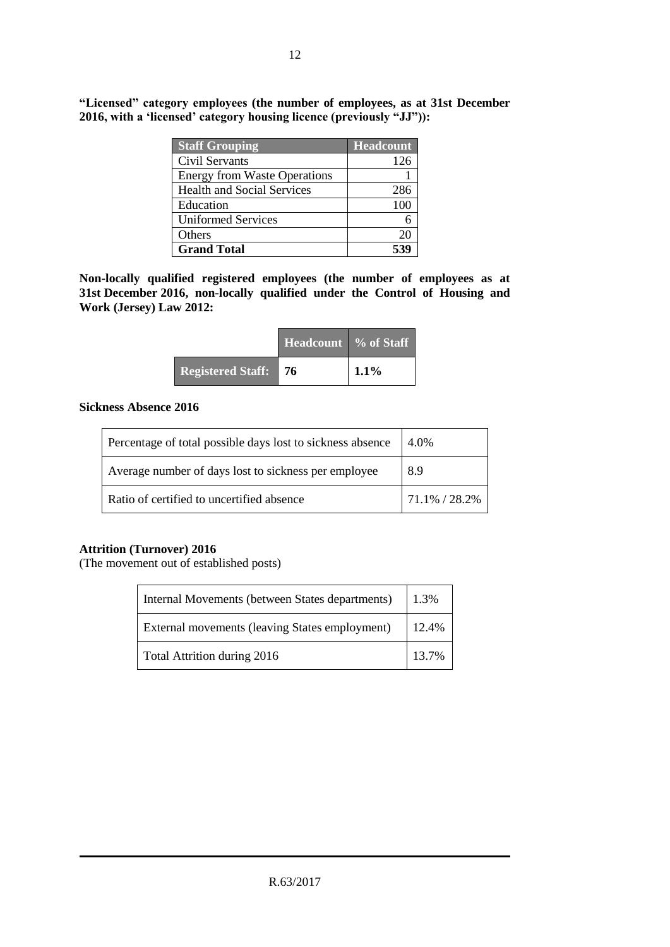| <b>Staff Grouping</b>               | <b>Headcount</b> |
|-------------------------------------|------------------|
| Civil Servants                      | 126              |
| <b>Energy from Waste Operations</b> |                  |
| <b>Health and Social Services</b>   | 286              |
| Education                           | 100              |
| <b>Uniformed Services</b>           |                  |
| Others                              | 20               |
| <b>Grand Total</b>                  |                  |

**"Licensed" category employees (the number of employees, as at 31st December 2016, with a 'licensed' category housing licence (previously "JJ")):**

**Non-locally qualified registered employees (the number of employees as at 31st December 2016, non-locally qualified under the Control of Housing and Work (Jersey) Law 2012:**

|                             | <b>Headcount</b> % of Staff |         |
|-----------------------------|-----------------------------|---------|
| <b>Registered Staff:</b> 76 |                             | $1.1\%$ |

#### **Sickness Absence 2016**

| Percentage of total possible days lost to sickness absence | 4.0%          |  |
|------------------------------------------------------------|---------------|--|
| Average number of days lost to sickness per employee       | 8.9           |  |
| Ratio of certified to uncertified absence                  | 71.1% / 28.2% |  |

#### **Attrition (Turnover) 2016**

(The movement out of established posts)

| Internal Movements (between States departments) |       |  |  |
|-------------------------------------------------|-------|--|--|
| External movements (leaving States employment)  | 12.4% |  |  |
| Total Attrition during 2016                     | 13.7% |  |  |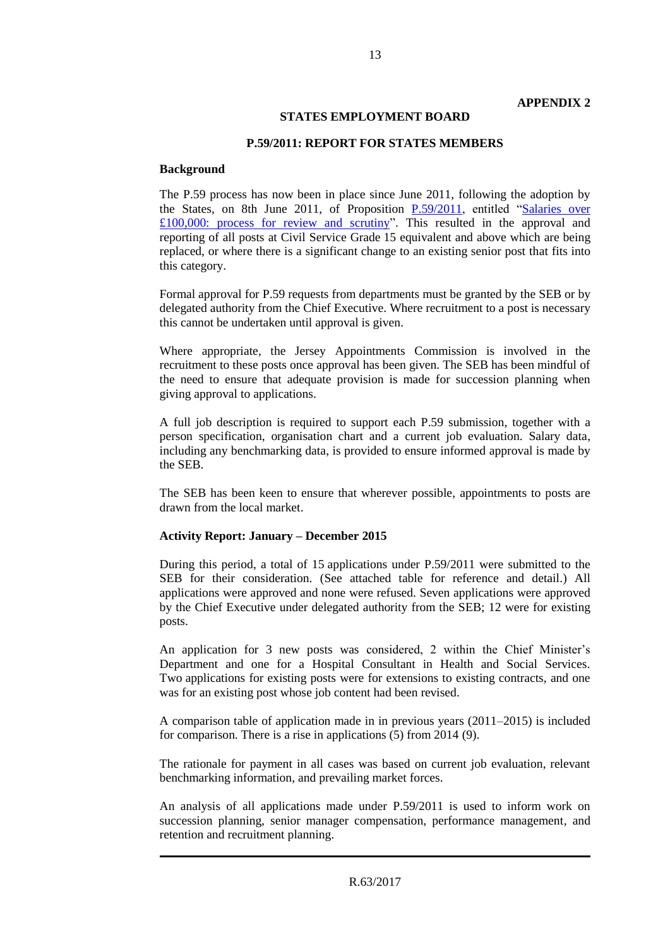#### **STATES EMPLOYMENT BOARD**

#### **P.59/2011: REPORT FOR STATES MEMBERS**

#### **Background**

The P.59 process has now been in place since June 2011, following the adoption by the States, on 8th June 2011, of Proposition [P.59/2011,](http://www.statesassembly.gov.je/AssemblyPropositions/2011/16153-12952-1842011.pdf) entitled ["Salaries over](http://www.statesassembly.gov.je/AssemblyPropositions/2011/16153-12952-1842011.pdf)   $£100,000$ : process for review and scrutiny". This resulted in the approval and reporting of all posts at Civil Service Grade 15 equivalent and above which are being replaced, or where there is a significant change to an existing senior post that fits into this category.

Formal approval for P.59 requests from departments must be granted by the SEB or by delegated authority from the Chief Executive. Where recruitment to a post is necessary this cannot be undertaken until approval is given.

Where appropriate, the Jersey Appointments Commission is involved in the recruitment to these posts once approval has been given. The SEB has been mindful of the need to ensure that adequate provision is made for succession planning when giving approval to applications.

A full job description is required to support each P.59 submission, together with a person specification, organisation chart and a current job evaluation. Salary data, including any benchmarking data, is provided to ensure informed approval is made by the SEB.

The SEB has been keen to ensure that wherever possible, appointments to posts are drawn from the local market.

#### **Activity Report: January – December 2015**

During this period, a total of 15 applications under P.59/2011 were submitted to the SEB for their consideration. (See attached table for reference and detail.) All applications were approved and none were refused. Seven applications were approved by the Chief Executive under delegated authority from the SEB; 12 were for existing posts.

An application for 3 new posts was considered, 2 within the Chief Minister's Department and one for a Hospital Consultant in Health and Social Services. Two applications for existing posts were for extensions to existing contracts, and one was for an existing post whose job content had been revised.

A comparison table of application made in in previous years (2011–2015) is included for comparison. There is a rise in applications (5) from 2014 (9).

The rationale for payment in all cases was based on current job evaluation, relevant benchmarking information, and prevailing market forces.

An analysis of all applications made under P.59/2011 is used to inform work on succession planning, senior manager compensation, performance management, and retention and recruitment planning.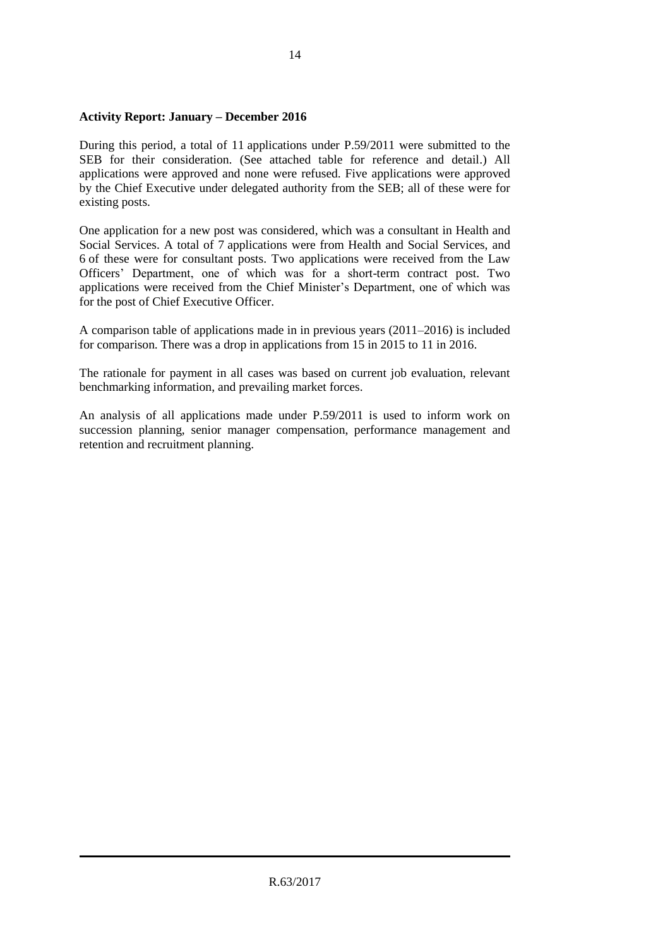#### **Activity Report: January – December 2016**

During this period, a total of 11 applications under P.59/2011 were submitted to the SEB for their consideration. (See attached table for reference and detail.) All applications were approved and none were refused. Five applications were approved by the Chief Executive under delegated authority from the SEB; all of these were for existing posts.

One application for a new post was considered, which was a consultant in Health and Social Services. A total of 7 applications were from Health and Social Services, and 6 of these were for consultant posts. Two applications were received from the Law Officers' Department, one of which was for a short-term contract post. Two applications were received from the Chief Minister's Department, one of which was for the post of Chief Executive Officer.

A comparison table of applications made in in previous years (2011–2016) is included for comparison. There was a drop in applications from 15 in 2015 to 11 in 2016.

The rationale for payment in all cases was based on current job evaluation, relevant benchmarking information, and prevailing market forces.

An analysis of all applications made under P.59/2011 is used to inform work on succession planning, senior manager compensation, performance management and retention and recruitment planning.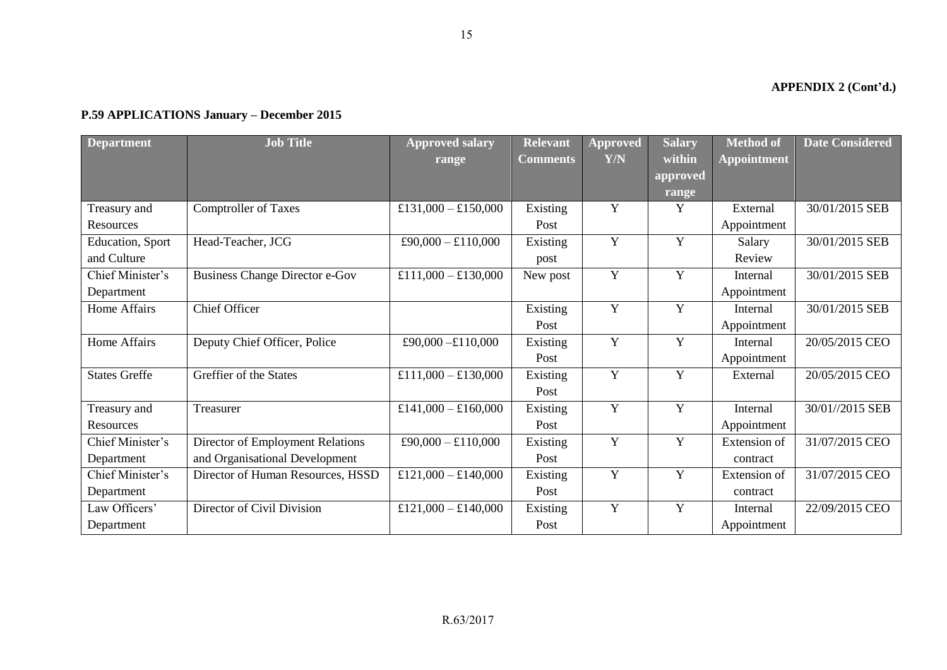**APPENDIX 2 (Cont'd.)** 

| <b>Department</b>    | <b>Job Title</b>                      | <b>Approved salary</b><br>range | <b>Relevant</b><br><b>Comments</b> | Approved<br>Y/N | <b>Salary</b><br>within | Method of<br><b>Appointment</b> | <b>Date Considered</b> |
|----------------------|---------------------------------------|---------------------------------|------------------------------------|-----------------|-------------------------|---------------------------------|------------------------|
|                      |                                       |                                 |                                    |                 | approved                |                                 |                        |
|                      |                                       |                                 |                                    |                 | range                   |                                 |                        |
| Treasury and         | <b>Comptroller of Taxes</b>           | £131,000 - £150,000             | Existing                           | Y               | Y                       | External                        | 30/01/2015 SEB         |
| Resources            |                                       |                                 | Post                               |                 |                         | Appointment                     |                        |
| Education, Sport     | Head-Teacher, JCG                     | £90,000 - £110,000              | Existing                           | Y               | Y                       | Salary                          | 30/01/2015 SEB         |
| and Culture          |                                       |                                 | post                               |                 |                         | Review                          |                        |
| Chief Minister's     | <b>Business Change Director e-Gov</b> | £111,000 - £130,000             | New post                           | Y               | Y                       | Internal                        | 30/01/2015 SEB         |
| Department           |                                       |                                 |                                    |                 |                         | Appointment                     |                        |
| Home Affairs         | <b>Chief Officer</b>                  |                                 | Existing                           | Y               | Y                       | Internal                        | 30/01/2015 SEB         |
|                      |                                       |                                 | Post                               |                 |                         | Appointment                     |                        |
| Home Affairs         | Deputy Chief Officer, Police          | £90,000 - £110,000              | Existing                           | Y               | Y                       | Internal                        | 20/05/2015 CEO         |
|                      |                                       |                                 | Post                               |                 |                         | Appointment                     |                        |
| <b>States Greffe</b> | Greffier of the States                | £111,000 - £130,000             | Existing                           | Y               | Y                       | External                        | 20/05/2015 CEO         |
|                      |                                       |                                 | Post                               |                 |                         |                                 |                        |
| Treasury and         | Treasurer                             | £141,000 - £160,000             | Existing                           | Y               | Y                       | Internal                        | 30/01//2015 SEB        |
| Resources            |                                       |                                 | Post                               |                 |                         | Appointment                     |                        |
| Chief Minister's     | Director of Employment Relations      | £90,000 - £110,000              | Existing                           | Y               | Y                       | Extension of                    | 31/07/2015 CEO         |
| Department           | and Organisational Development        |                                 | Post                               |                 |                         | contract                        |                        |
| Chief Minister's     | Director of Human Resources, HSSD     | £121,000 - £140,000             | Existing                           | Y               | Y                       | Extension of                    | 31/07/2015 CEO         |
| Department           |                                       |                                 | Post                               |                 |                         | contract                        |                        |
| Law Officers'        | Director of Civil Division            | £121,000 - £140,000             | Existing                           | Y               | Y                       | Internal                        | 22/09/2015 CEO         |
| Department           |                                       |                                 | Post                               |                 |                         | Appointment                     |                        |

#### **P.59 APPLICATIONS January – December 2015**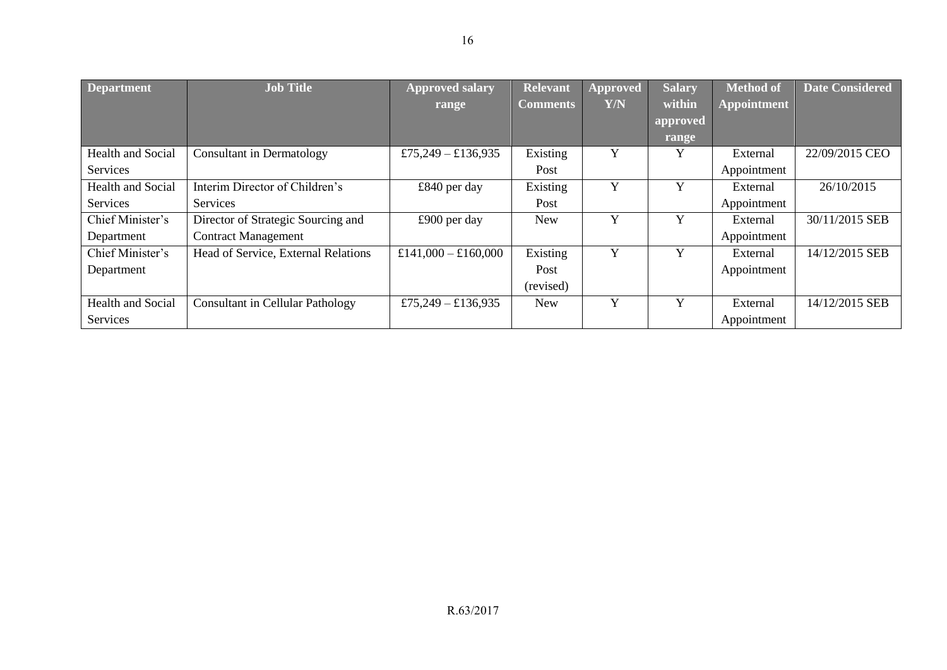| <b>Department</b> | <b>Job Title</b>                        | <b>Approved salary</b><br>range | <b>Relevant</b><br><b>Comments</b> | <b>Approved</b><br>Y/N | <b>Salary</b><br>within | <b>Method of</b><br><b>Appointment</b> | <b>Date Considered</b> |
|-------------------|-----------------------------------------|---------------------------------|------------------------------------|------------------------|-------------------------|----------------------------------------|------------------------|
|                   |                                         |                                 |                                    |                        | approved                |                                        |                        |
|                   |                                         |                                 |                                    |                        | range                   |                                        |                        |
| Health and Social | <b>Consultant in Dermatology</b>        | £75,249 – £136,935              | Existing                           | Y                      | Y                       | External                               | 22/09/2015 CEO         |
| Services          |                                         |                                 | Post                               |                        |                         | Appointment                            |                        |
| Health and Social | Interim Director of Children's          | $£840$ per day                  | Existing                           | Y                      | Y                       | External                               | 26/10/2015             |
| Services          | Services                                |                                 | Post                               |                        |                         | Appointment                            |                        |
| Chief Minister's  | Director of Strategic Sourcing and      | £900 per day                    | <b>New</b>                         | Y                      | Y                       | External                               | 30/11/2015 SEB         |
| Department        | <b>Contract Management</b>              |                                 |                                    |                        |                         | Appointment                            |                        |
| Chief Minister's  | Head of Service, External Relations     | £141,000 - £160,000             | Existing                           | Y                      | Y                       | External                               | 14/12/2015 SEB         |
| Department        |                                         |                                 | Post                               |                        |                         | Appointment                            |                        |
|                   |                                         |                                 | (revised)                          |                        |                         |                                        |                        |
| Health and Social | <b>Consultant in Cellular Pathology</b> | £75,249 – £136,935              | <b>New</b>                         | Y                      | Y                       | External                               | 14/12/2015 SEB         |
| Services          |                                         |                                 |                                    |                        |                         | Appointment                            |                        |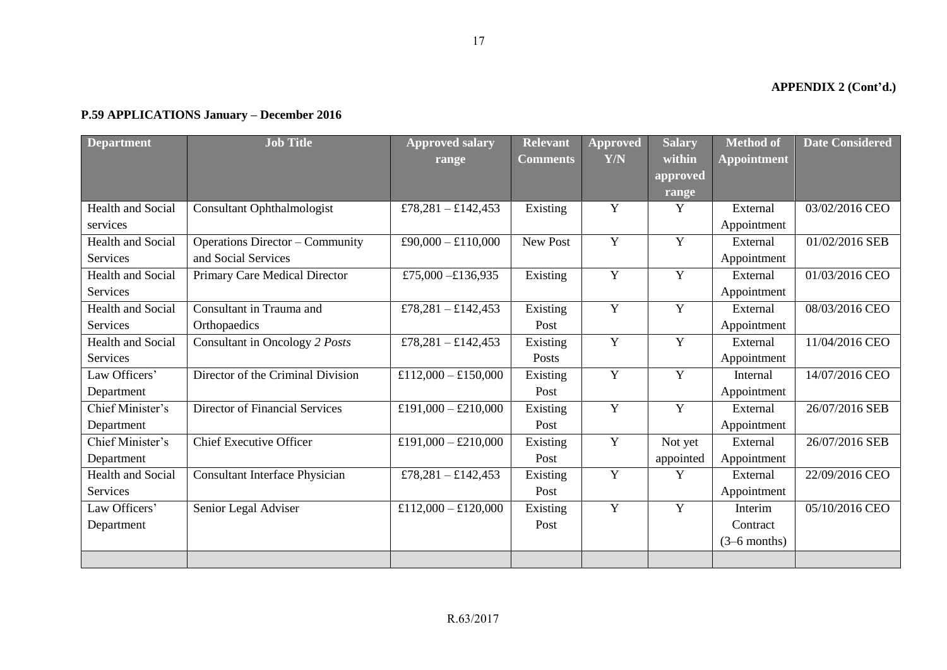## **APPENDIX 2 (Cont'd.)**

| <b>Department</b>        | <b>Job Title</b>                       | <b>Approved salary</b> | <b>Relevant</b> | Approved       | <b>Salary</b>  | <b>Method of</b>   | <b>Date Considered</b> |
|--------------------------|----------------------------------------|------------------------|-----------------|----------------|----------------|--------------------|------------------------|
|                          |                                        | range                  | <b>Comments</b> | Y/N            | within         | <b>Appointment</b> |                        |
|                          |                                        |                        |                 |                | approved       |                    |                        |
|                          |                                        |                        |                 |                | range          |                    |                        |
| <b>Health and Social</b> | <b>Consultant Ophthalmologist</b>      | £78,281 - £142,453     | Existing        | Y              | Y              | External           | 03/02/2016 CEO         |
| services                 |                                        |                        |                 |                |                | Appointment        |                        |
| Health and Social        | <b>Operations Director – Community</b> | £90,000 - £110,000     | New Post        | $\mathbf Y$    | Y              | External           | 01/02/2016 SEB         |
| Services                 | and Social Services                    |                        |                 |                |                | Appointment        |                        |
| Health and Social        | Primary Care Medical Director          | £75,000 - £136,935     | Existing        | $\mathbf Y$    | Y              | External           | 01/03/2016 CEO         |
| Services                 |                                        |                        |                 |                |                | Appointment        |                        |
| <b>Health and Social</b> | Consultant in Trauma and               | £78,281 - £142,453     | Existing        | Y              | Y              | External           | 08/03/2016 CEO         |
| <b>Services</b>          | Orthopaedics                           |                        | Post            |                |                | Appointment        |                        |
| Health and Social        | Consultant in Oncology 2 Posts         | £78,281 - £142,453     | Existing        | $\mathbf Y$    | Y              | External           | 11/04/2016 CEO         |
| Services                 |                                        |                        | Posts           |                |                | Appointment        |                        |
| Law Officers'            | Director of the Criminal Division      | £112,000 - £150,000    | Existing        | $\overline{Y}$ | $\overline{Y}$ | Internal           | 14/07/2016 CEO         |
| Department               |                                        |                        | Post            |                |                | Appointment        |                        |
| Chief Minister's         | <b>Director of Financial Services</b>  | £191,000 - £210,000    | Existing        | $\overline{Y}$ | $\overline{Y}$ | External           | 26/07/2016 SEB         |
| Department               |                                        |                        | Post            |                |                | Appointment        |                        |
| Chief Minister's         | <b>Chief Executive Officer</b>         | £191,000 - £210,000    | Existing        | $\mathbf Y$    | Not yet        | External           | 26/07/2016 SEB         |
| Department               |                                        |                        | Post            |                | appointed      | Appointment        |                        |
| Health and Social        | <b>Consultant Interface Physician</b>  | £78,281 - £142,453     | Existing        | $\mathbf Y$    | Y              | External           | 22/09/2016 CEO         |
| Services                 |                                        |                        | Post            |                |                | Appointment        |                        |
| Law Officers'            | Senior Legal Adviser                   | £112,000 - £120,000    | Existing        | $\overline{Y}$ | Y              | Interim            | 05/10/2016 CEO         |
| Department               |                                        |                        | Post            |                |                | Contract           |                        |
|                          |                                        |                        |                 |                |                | $(3-6$ months)     |                        |
|                          |                                        |                        |                 |                |                |                    |                        |

#### **P.59 APPLICATIONS January – December 2016**